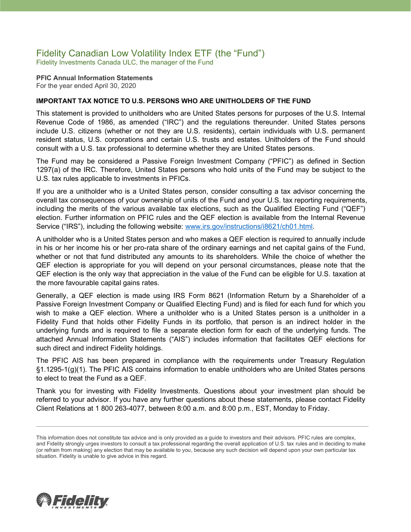# Fidelity Canadian Low Volatility Index ETF (the "Fund")

Fidelity Investments Canada ULC, the manager of the Fund

**PFIC Annual Information Statements** For the year ended April 30, 2020

### **IMPORTANT TAX NOTICE TO U.S. PERSONS WHO ARE UNITHOLDERS OF THE FUND**

This statement is provided to unitholders who are United States persons for purposes of the U.S. Internal Revenue Code of 1986, as amended ("IRC") and the regulations thereunder. United States persons include U.S. citizens (whether or not they are U.S. residents), certain individuals with U.S. permanent resident status, U.S. corporations and certain U.S. trusts and estates. Unitholders of the Fund should consult with a U.S. tax professional to determine whether they are United States persons.

The Fund may be considered a Passive Foreign Investment Company ("PFIC") as defined in Section 1297(a) of the IRC. Therefore, United States persons who hold units of the Fund may be subject to the U.S. tax rules applicable to investments in PFICs.

If you are a unitholder who is a United States person, consider consulting a tax advisor concerning the overall tax consequences of your ownership of units of the Fund and your U.S. tax reporting requirements, including the merits of the various available tax elections, such as the Qualified Electing Fund ("QEF") election. Further information on PFIC rules and the QEF election is available from the Internal Revenue Service ("IRS"), including the following website: [www.irs.gov/instructions/i8621/ch01.html.](http://www.irs.gov/instructions/i8621/ch01.html)

A unitholder who is a United States person and who makes a QEF election is required to annually include in his or her income his or her pro-rata share of the ordinary earnings and net capital gains of the Fund, whether or not that fund distributed any amounts to its shareholders. While the choice of whether the QEF election is appropriate for you will depend on your personal circumstances, please note that the QEF election is the only way that appreciation in the value of the Fund can be eligible for U.S. taxation at the more favourable capital gains rates.

Generally, a QEF election is made using IRS Form 8621 (Information Return by a Shareholder of a Passive Foreign Investment Company or Qualified Electing Fund) and is filed for each fund for which you wish to make a QEF election. Where a unitholder who is a United States person is a unitholder in a Fidelity Fund that holds other Fidelity Funds in its portfolio, that person is an indirect holder in the underlying funds and is required to file a separate election form for each of the underlying funds. The attached Annual Information Statements ("AIS") includes information that facilitates QEF elections for such direct and indirect Fidelity holdings.

The PFIC AIS has been prepared in compliance with the requirements under Treasury Regulation §1.1295-1(g)(1). The PFIC AIS contains information to enable unitholders who are United States persons to elect to treat the Fund as a QEF.

Thank you for investing with Fidelity Investments. Questions about your investment plan should be referred to your advisor. If you have any further questions about these statements, please contact Fidelity Client Relations at 1 800 263-4077, between 8:00 a.m. and 8:00 p.m., EST, Monday to Friday.



This information does not constitute tax advice and is only provided as a guide to investors and their advisors. PFIC rules are complex, and Fidelity strongly urges investors to consult a tax professional regarding the overall application of U.S. tax rules and in deciding to make (or refrain from making) any election that may be available to you, because any such decision will depend upon your own particular tax situation. Fidelity is unable to give advice in this regard.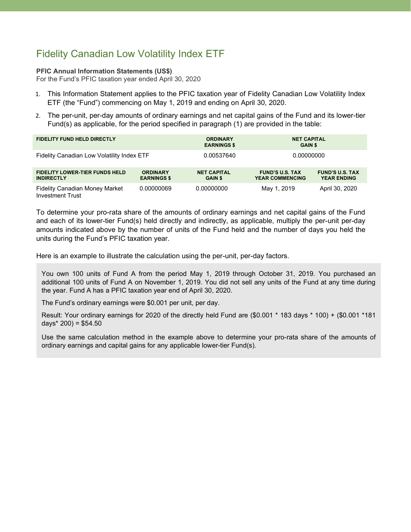## Fidelity Canadian Low Volatility Index ETF

#### **PFIC Annual Information Statements (US\$)**

For the Fund's PFIC taxation year ended April 30, 2020

- 1. This Information Statement applies to the PFIC taxation year of Fidelity Canadian Low Volatility Index ETF (the "Fund") commencing on May 1, 2019 and ending on April 30, 2020.
- 2. The per-unit, per-day amounts of ordinary earnings and net capital gains of the Fund and its lower-tier Fund(s) as applicable, for the period specified in paragraph (1) are provided in the table:

| <b>FIDELITY FUND HELD DIRECTLY</b>                               |                                       | <b>ORDINARY</b><br><b>EARNINGS \$</b> | <b>NET CAPITAL</b><br><b>GAIN \$</b>             |                                              |
|------------------------------------------------------------------|---------------------------------------|---------------------------------------|--------------------------------------------------|----------------------------------------------|
| Fidelity Canadian Low Volatility Index ETF                       |                                       | 0.00537640                            | 0.00000000                                       |                                              |
| <b>FIDELITY LOWER-TIER FUNDS HELD</b><br><b>INDIRECTLY</b>       | <b>ORDINARY</b><br><b>EARNINGS \$</b> | <b>NET CAPITAL</b><br><b>GAIN \$</b>  | <b>FUND'S U.S. TAX</b><br><b>YEAR COMMENCING</b> | <b>FUND'S U.S. TAX</b><br><b>YEAR ENDING</b> |
| <b>Fidelity Canadian Money Market</b><br><b>Investment Trust</b> | 0.00000069                            | 0.00000000                            | May 1, 2019                                      | April 30, 2020                               |

To determine your pro-rata share of the amounts of ordinary earnings and net capital gains of the Fund and each of its lower-tier Fund(s) held directly and indirectly, as applicable, multiply the per-unit per-day amounts indicated above by the number of units of the Fund held and the number of days you held the units during the Fund's PFIC taxation year.

Here is an example to illustrate the calculation using the per-unit, per-day factors.

You own 100 units of Fund A from the period May 1, 2019 through October 31, 2019. You purchased an additional 100 units of Fund A on November 1, 2019. You did not sell any units of the Fund at any time during the year. Fund A has a PFIC taxation year end of April 30, 2020.

The Fund's ordinary earnings were \$0.001 per unit, per day.

Result: Your ordinary earnings for 2020 of the directly held Fund are (\$0.001 \* 183 days \* 100) + (\$0.001 \*181 days $*$  200) = \$54.50

Use the same calculation method in the example above to determine your pro-rata share of the amounts of ordinary earnings and capital gains for any applicable lower-tier Fund(s).